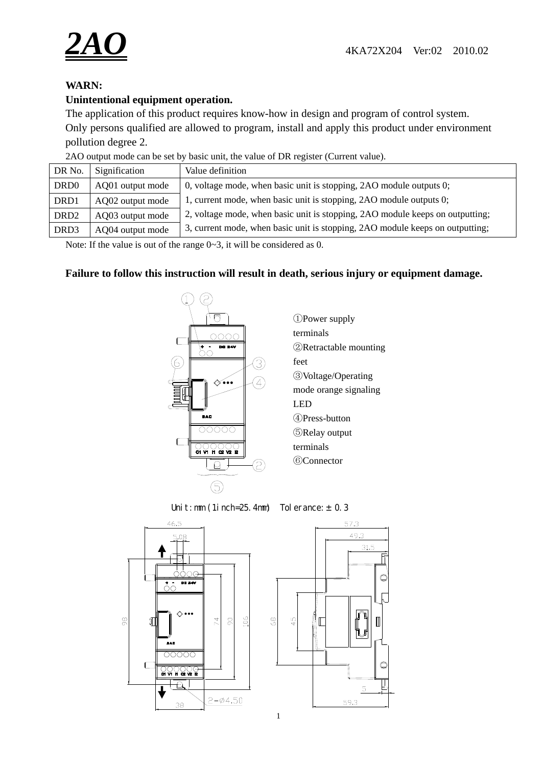

# **WARN:**

# **Unintentional equipment operation.**

The application of this product requires know-how in design and program of control system. Only persons qualified are allowed to program, install and apply this product under environment pollution degree 2.

2AO output mode can be set by basic unit, the value of DR register (Current value).

| DR No.                       | Signification    | Value definition                                                              |  |
|------------------------------|------------------|-------------------------------------------------------------------------------|--|
| DR <sub>D</sub> <sub>0</sub> | AQ01 output mode | 0, voltage mode, when basic unit is stopping, 2AO module outputs 0;           |  |
| DRD1                         | AQ02 output mode | 1, current mode, when basic unit is stopping, 2AO module outputs 0;           |  |
| DRD <sub>2</sub>             | AQ03 output mode | 2, voltage mode, when basic unit is stopping, 2AO module keeps on outputting; |  |
| DRD <sub>3</sub>             | AQ04 output mode | 3, current mode, when basic unit is stopping, 2AO module keeps on outputting; |  |

Note: If the value is out of the range  $0 \sim 3$ , it will be considered as 0.

## **Failure to follow this instruction will result in death, serious injury or equipment damage.**



Uni t : mm (1i nch=25. 4mm) Tol er ance:  $\pm$  0. 3



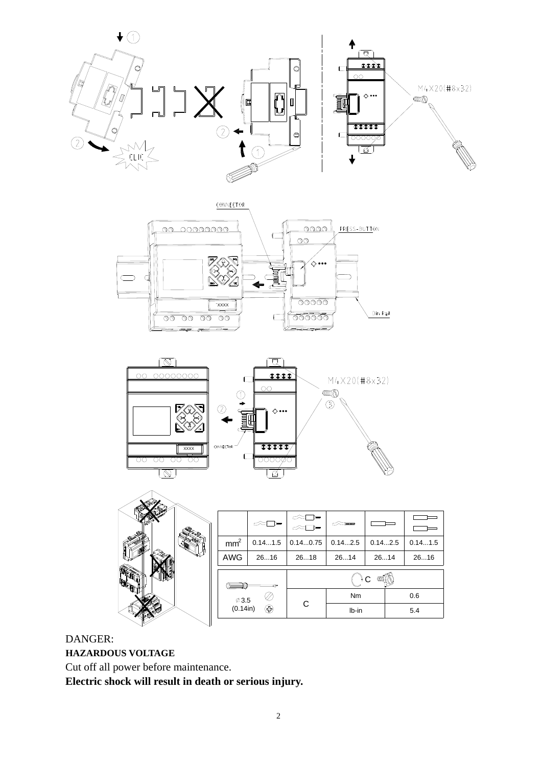









### DANGER:

**HAZARDOUS VOLTAGE** 

Cut off all power before maintenance.

**Electric shock will result in death or serious injury.**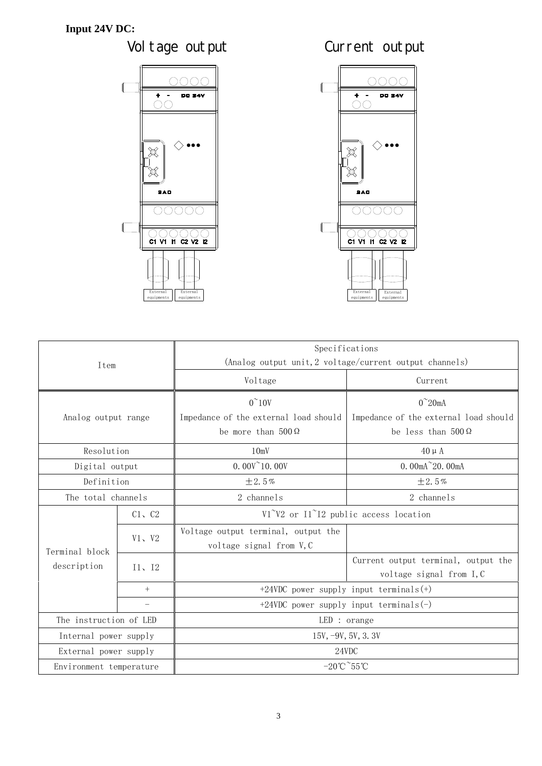







| Item                    |             | Specifications                                                  |                                       |  |
|-------------------------|-------------|-----------------------------------------------------------------|---------------------------------------|--|
|                         |             | (Analog output unit, 2 voltage/current output channels)         |                                       |  |
|                         |             | Voltage                                                         | Current                               |  |
|                         |             | $0^{\sim}10V$                                                   | $0^{\sim}$ 20mA                       |  |
| Analog output range     |             | Impedance of the external load should                           | Impedance of the external load should |  |
|                         |             | be more than $500 \Omega$                                       | be less than $500\,\Omega$            |  |
| Resolution              |             | 10mV                                                            | $40 \mu A$                            |  |
| Digital output          |             | $0.00V^{\sim}10.00V$                                            | $0.00 \text{mA}^220.00 \text{mA}$     |  |
| Definition              |             | $\pm 2.5%$                                                      | ±2.5%                                 |  |
| The total channels      |             | 2 channels                                                      | 2 channels                            |  |
|                         | $C1$ , $C2$ | V1 <sup>~</sup> V2 or I1 <sup>~</sup> I2 public access location |                                       |  |
|                         | V1, V2      | Voltage output terminal, output the                             |                                       |  |
| Terminal block          |             | voltage signal from V, C                                        |                                       |  |
| description             | I1, I2      |                                                                 | Current output terminal, output the   |  |
|                         |             |                                                                 | voltage signal from I, C              |  |
|                         | $^{+}$      | $+24VDC$ power supply input terminals $(+)$                     |                                       |  |
|                         |             | +24VDC power supply input terminals $(-)$                       |                                       |  |
| The instruction of LED  |             | LED: orange                                                     |                                       |  |
| Internal power supply   |             | $15V, -9V, 5V, 3.3V$                                            |                                       |  |
| External power supply   |             | 24VDC                                                           |                                       |  |
| Environment temperature |             | $-20^{\circ}$ C $\degree$ 55 $\degree$ C                        |                                       |  |